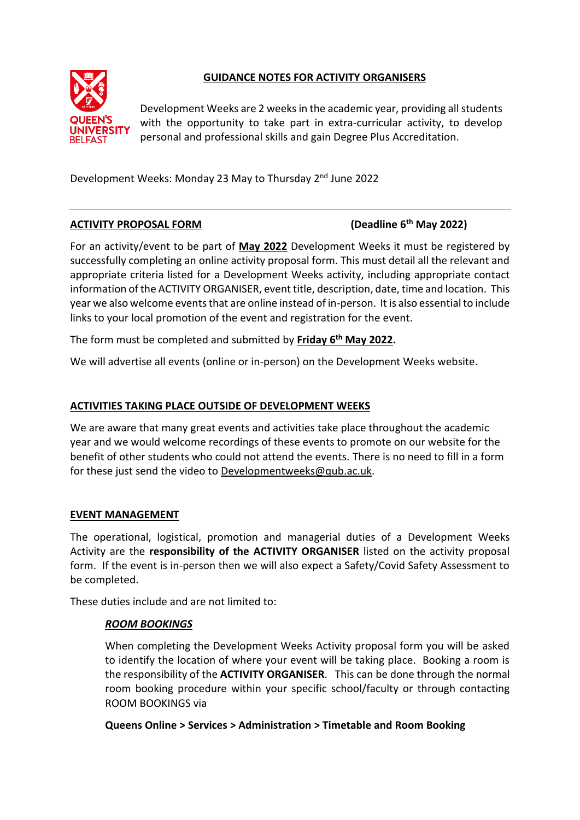

# **GUIDANCE NOTES FOR ACTIVITY ORGANISERS**

Development Weeks are 2 weeks in the academic year, providing all students with the opportunity to take part in extra-curricular activity, to develop personal and professional skills and gain Degree Plus Accreditation.

Development Weeks: Monday 23 May to Thursday 2nd June 2022

# **ACTIVITY PROPOSAL FORM**

# **th May 2022)**

For an activity/event to be part of **May 2022** Development Weeks it must be registered by successfully completing an online activity proposal form. This must detail all the relevant and appropriate criteria listed for a Development Weeks activity, including appropriate contact information of the ACTIVITY ORGANISER, event title, description, date, time and location. This year we also welcome events that are online instead of in-person. It is also essential to include links to your local promotion of the event and registration for the event.

The form must be completed and submitted by **Friday 6 th May 2022.**

We will advertise all events (online or in-person) on the Development Weeks website.

# **ACTIVITIES TAKING PLACE OUTSIDE OF DEVELOPMENT WEEKS**

We are aware that many great events and activities take place throughout the academic year and we would welcome recordings of these events to promote on our website for the benefit of other students who could not attend the events. There is no need to fill in a form for these just send the video to [Developmentweeks@qub.ac.uk.](mailto:Developmentweeks@qub.ac.uk)

## **EVENT MANAGEMENT**

The operational, logistical, promotion and managerial duties of a Development Weeks Activity are the **responsibility of the ACTIVITY ORGANISER** listed on the activity proposal form. If the event is in-person then we will also expect a Safety/Covid Safety Assessment to be completed.

These duties include and are not limited to:

# *ROOM BOOKINGS*

When completing the Development Weeks Activity proposal form you will be asked to identify the location of where your event will be taking place. Booking a room is the responsibility of the **ACTIVITY ORGANISER**. This can be done through the normal room booking procedure within your specific school/faculty or through contacting ROOM BOOKINGS via

## **Queens Online > Services > Administration > Timetable and Room Booking**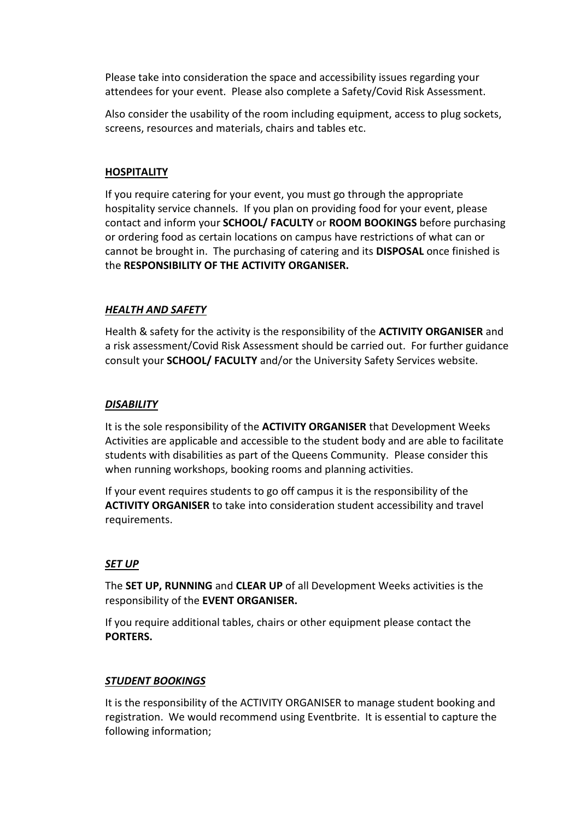Please take into consideration the space and accessibility issues regarding your attendees for your event. Please also complete a Safety/Covid Risk Assessment.

Also consider the usability of the room including equipment, access to plug sockets, screens, resources and materials, chairs and tables etc.

### **HOSPITALITY**

If you require catering for your event, you must go through the appropriate hospitality service channels. If you plan on providing food for your event, please contact and inform your **SCHOOL/ FACULTY** or **ROOM BOOKINGS** before purchasing or ordering food as certain locations on campus have restrictions of what can or cannot be brought in. The purchasing of catering and its **DISPOSAL** once finished is the **RESPONSIBILITY OF THE ACTIVITY ORGANISER.**

#### *HEALTH AND SAFETY*

Health & safety for the activity is the responsibility of the **ACTIVITY ORGANISER** and a risk assessment/Covid Risk Assessment should be carried out. For further guidance consult your **SCHOOL/ FACULTY** and/or the University Safety Services website.

#### *DISABILITY*

It is the sole responsibility of the **ACTIVITY ORGANISER** that Development Weeks Activities are applicable and accessible to the student body and are able to facilitate students with disabilities as part of the Queens Community. Please consider this when running workshops, booking rooms and planning activities.

If your event requires students to go off campus it is the responsibility of the **ACTIVITY ORGANISER** to take into consideration student accessibility and travel requirements.

## *SET UP*

The **SET UP, RUNNING** and **CLEAR UP** of all Development Weeks activities is the responsibility of the **EVENT ORGANISER.**

If you require additional tables, chairs or other equipment please contact the **PORTERS.**

#### *STUDENT BOOKINGS*

It is the responsibility of the ACTIVITY ORGANISER to manage student booking and registration. We would recommend using Eventbrite. It is essential to capture the following information;